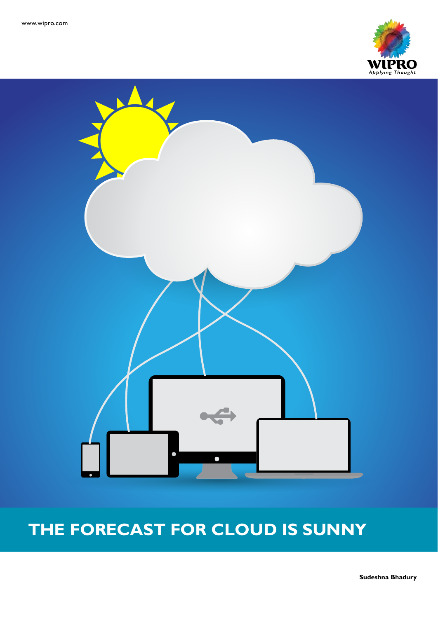



# **THE FORECAST FOR CLOUD IS SUNNY**

**Sudeshna Bhadury**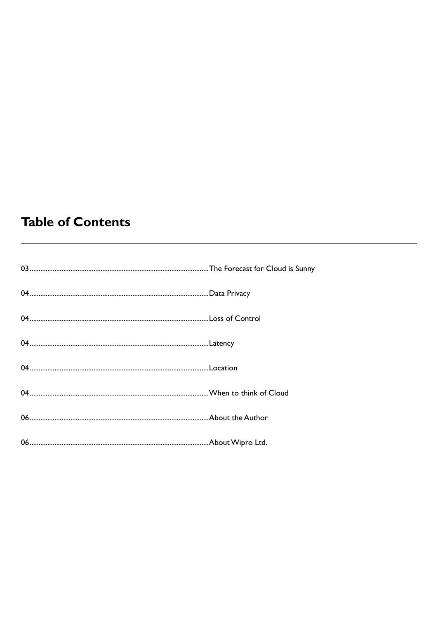# **Table of Contents**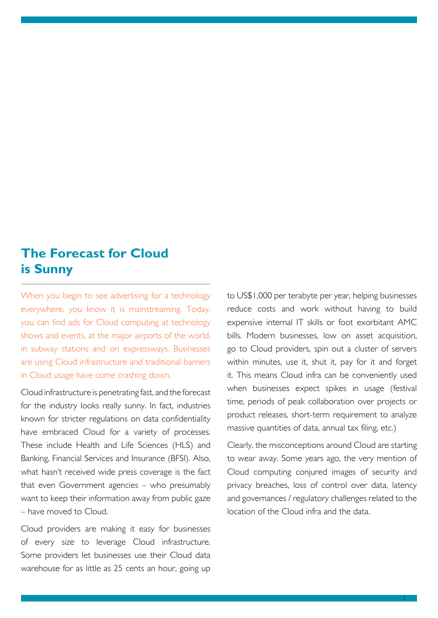# **The Forecast for Cloud is Sunny**

When you begin to see advertising for a technology everywhere, you know it is mainstreaming. Today, you can find ads for Cloud computing at technology shows and events, at the major airports of the world, in subway stations and on expressways. Businesses are using Cloud infrastructure and traditional barriers in Cloud usage have come crashing down.

Cloud infrastructure is penetrating fast, and the forecast for the industry looks really sunny. In fact, industries known for stricter regulations on data confidentiality have embraced Cloud for a variety of processes. These include Health and Life Sciences (HLS) and Banking, Financial Services and Insurance (BFSI). Also, what hasn't received wide press coverage is the fact that even Government agencies – who presumably want to keep their information away from public gaze – have moved to Cloud.

Cloud providers are making it easy for businesses of every size to leverage Cloud infrastructure. Some providers let businesses use their Cloud data warehouse for as little as 25 cents an hour, going up

to US\$1,000 per terabyte per year, helping businesses reduce costs and work without having to build expensive internal IT skills or foot exorbitant AMC bills. Modern businesses, low on asset acquisition, go to Cloud providers, spin out a cluster of servers within minutes, use it, shut it, pay for it and forget it. This means Cloud infra can be conveniently used when businesses expect spikes in usage (festival time, periods of peak collaboration over projects or product releases, short-term requirement to analyze massive quantities of data, annual tax filing, etc.)

Clearly, the misconceptions around Cloud are starting to wear away. Some years ago, the very mention of Cloud computing conjured images of security and privacy breaches, loss of control over data, latency and governances / regulatory challenges related to the location of the Cloud infra and the data.

3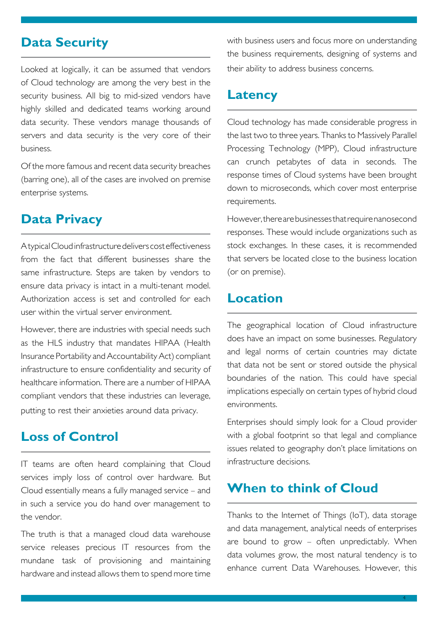#### **Data Security**

Looked at logically, it can be assumed that vendors of Cloud technology are among the very best in the security business. All big to mid-sized vendors have highly skilled and dedicated teams working around data security. These vendors manage thousands of servers and data security is the very core of their business.

Of the more famous and recent data security breaches (barring one), all of the cases are involved on premise enterprise systems.

#### **Data Privacy**

A typical Cloud infrastructure delivers cost effectiveness from the fact that different businesses share the same infrastructure. Steps are taken by vendors to ensure data privacy is intact in a multi-tenant model. Authorization access is set and controlled for each user within the virtual server environment.

However, there are industries with special needs such as the HLS industry that mandates HIPAA (Health Insurance Portability and Accountability Act) compliant infrastructure to ensure confidentiality and security of healthcare information. There are a number of HIPAA compliant vendors that these industries can leverage, putting to rest their anxieties around data privacy.

### **Loss of Control**

IT teams are often heard complaining that Cloud services imply loss of control over hardware. But Cloud essentially means a fully managed service – and in such a service you do hand over management to the vendor.

The truth is that a managed cloud data warehouse service releases precious IT resources from the mundane task of provisioning and maintaining hardware and instead allows them to spend more time with business users and focus more on understanding the business requirements, designing of systems and their ability to address business concerns.

#### **Latency**

Cloud technology has made considerable progress in the last two to three years. Thanks to Massively Parallel Processing Technology (MPP), Cloud infrastructure can crunch petabytes of data in seconds. The response times of Cloud systems have been brought down to microseconds, which cover most enterprise requirements.

However, there are businesses that require nanosecond responses. These would include organizations such as stock exchanges. In these cases, it is recommended that servers be located close to the business location (or on premise).

#### **Location**

The geographical location of Cloud infrastructure does have an impact on some businesses. Regulatory and legal norms of certain countries may dictate that data not be sent or stored outside the physical boundaries of the nation. This could have special implications especially on certain types of hybrid cloud environments.

Enterprises should simply look for a Cloud provider with a global footprint so that legal and compliance issues related to geography don't place limitations on infrastructure decisions.

### **When to think of Cloud**

Thanks to the Internet of Things (IoT), data storage and data management, analytical needs of enterprises are bound to grow – often unpredictably. When data volumes grow, the most natural tendency is to enhance current Data Warehouses. However, this

4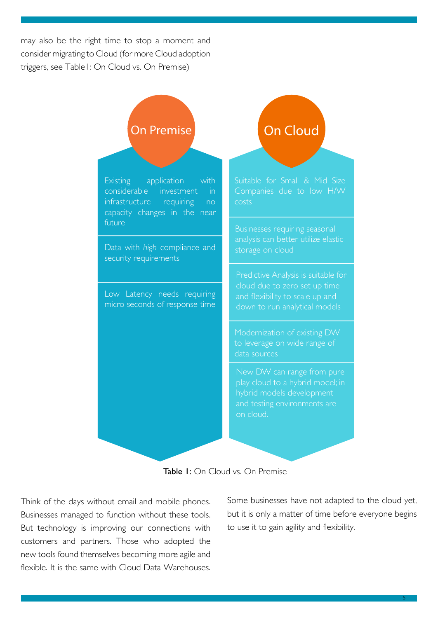may also be the right time to stop a moment and consider migrating to Cloud (for more Cloud adoption triggers, see Table1: On Cloud vs. On Premise)





Think of the days without email and mobile phones. Businesses managed to function without these tools. But technology is improving our connections with customers and partners. Those who adopted the new tools found themselves becoming more agile and flexible. It is the same with Cloud Data Warehouses. Some businesses have not adapted to the cloud yet, but it is only a matter of time before everyone begins to use it to gain agility and flexibility.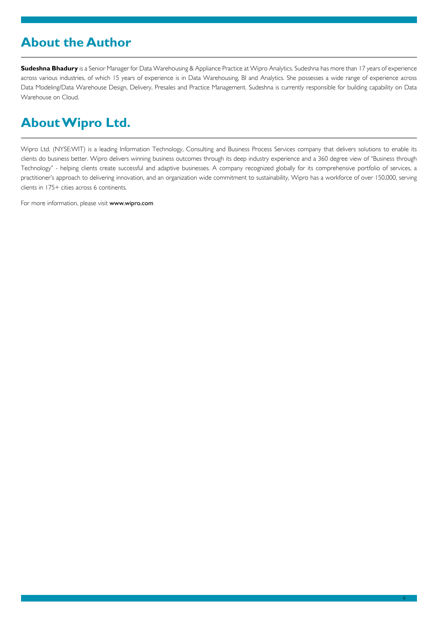# **About the Author**

**Sudeshna Bhadury** is a Senior Manager for Data Warehousing & Appliance Practice at Wipro Analytics. Sudeshna has more than 17 years of experience across various industries, of which 15 years of experience is in Data Warehousing, BI and Analytics. She possesses a wide range of experience across Data Modeling/Data Warehouse Design, Delivery, Presales and Practice Management. Sudeshna is currently responsible for building capability on Data Warehouse on Cloud.

# **About Wipro Ltd.**

Wipro Ltd. (NYSE:WIT) is a leading Information Technology, Consulting and Business Process Services company that delivers solutions to enable its clients do business better. Wipro delivers winning business outcomes through its deep industry experience and a 360 degree view of "Business through Technology" - helping clients create successful and adaptive businesses. A company recognized globally for its comprehensive portfolio of services, a practitioner's approach to delivering innovation, and an organization wide commitment to sustainability, Wipro has a workforce of over 150,000, serving clients in 175+ cities across 6 continents.

For more information, please visit www.wipro.com